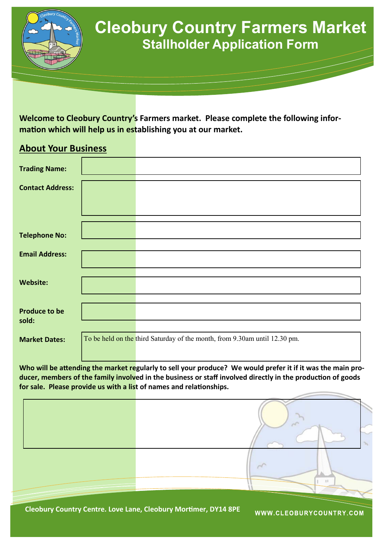

## **Cleobury Country Farmers Market Stallholder Application Form**

**Welcome to Cleobury Country's Farmers market. Please complete the following information which will help us in establishing you at our market.**

## **About Your Business**

| <b>Trading Name:</b>    |                                                                            |
|-------------------------|----------------------------------------------------------------------------|
|                         |                                                                            |
| <b>Contact Address:</b> |                                                                            |
|                         |                                                                            |
|                         |                                                                            |
|                         |                                                                            |
| <b>Telephone No:</b>    |                                                                            |
|                         |                                                                            |
| <b>Email Address:</b>   |                                                                            |
|                         |                                                                            |
|                         |                                                                            |
|                         |                                                                            |
| <b>Website:</b>         |                                                                            |
|                         |                                                                            |
|                         |                                                                            |
| <b>Produce to be</b>    |                                                                            |
| sold:                   |                                                                            |
|                         |                                                                            |
| <b>Market Dates:</b>    | To be held on the third Saturday of the month, from 9.30am until 12.30 pm. |
|                         |                                                                            |
|                         |                                                                            |

Who will be attending the market regularly to sell your produce? We would prefer it if it was the main pro**ducer, members of the family involved in the business or staff involved directly in the production of goods for sale. Please provide us with a list of names and relationships.**



**Cleobury Country Centre. Love Lane, Cleobury Mortimer, DY14 8PE** 

WWW.CLEOBURYCOUNTRY.COM